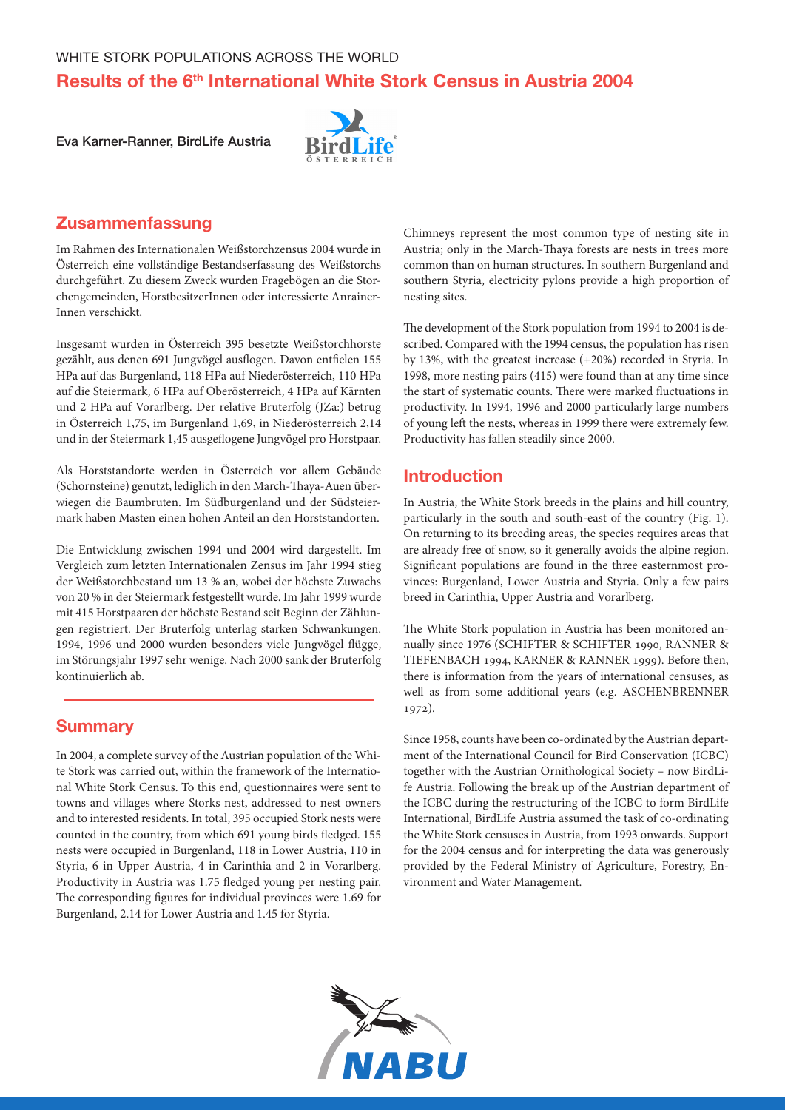# Results of the 6<sup>th</sup> International White Stork Census in Austria 2004

Eva Karner-Ranner, BirdLife Austria



# Zusammenfassung

Im Rahmen des Internationalen Weißstorchzensus 2004 wurde in Österreich eine vollständige Bestandserfassung des Weißstorchs durchgeführt. Zu diesem Zweck wurden Fragebögen an die Storchengemeinden, HorstbesitzerInnen oder interessierte Anrainer-Innen verschickt.

Insgesamt wurden in Österreich 395 besetzte Weißstorchhorste gezählt, aus denen 691 Jungvögel ausflogen. Davon entfielen 155 HPa auf das Burgenland, 118 HPa auf Niederösterreich, 110 HPa auf die Steiermark, 6 HPa auf Oberösterreich, 4 HPa auf Kärnten und 2 HPa auf Vorarlberg. Der relative Bruterfolg (JZa:) betrug in Österreich 1,75, im Burgenland 1,69, in Niederösterreich 2,14 und in der Steiermark 1,45 ausgeflogene Jungvögel pro Horstpaar.

Als Horststandorte werden in Österreich vor allem Gebäude (Schornsteine) genutzt, lediglich in den March-Thaya-Auen überwiegen die Baumbruten. Im Südburgenland und der Südsteiermark haben Masten einen hohen Anteil an den Horststandorten.

Die Entwicklung zwischen 1994 und 2004 wird dargestellt. Im Vergleich zum letzten Internationalen Zensus im Jahr 1994 stieg der Weißstorchbestand um 13 % an, wobei der höchste Zuwachs von 20 % in der Steiermark festgestellt wurde. Im Jahr 1999 wurde mit 415 Horstpaaren der höchste Bestand seit Beginn der Zählungen registriert. Der Bruterfolg unterlag starken Schwankungen. 1994, 1996 und 2000 wurden besonders viele Jungvögel flügge, im Störungsjahr 1997 sehr wenige. Nach 2000 sank der Bruterfolg kontinuierlich ab.

### **Summary**

In 2004, a complete survey of the Austrian population of the White Stork was carried out, within the framework of the International White Stork Census. To this end, questionnaires were sent to towns and villages where Storks nest, addressed to nest owners and to interested residents. In total, 395 occupied Stork nests were counted in the country, from which 691 young birds fledged. 155 nests were occupied in Burgenland, 118 in Lower Austria, 110 in Styria, 6 in Upper Austria, 4 in Carinthia and 2 in Vorarlberg. Productivity in Austria was 1.75 fledged young per nesting pair. The corresponding figures for individual provinces were 1.69 for Burgenland, 2.14 for Lower Austria and 1.45 for Styria.

Chimneys represent the most common type of nesting site in Austria; only in the March-Thaya forests are nests in trees more common than on human structures. In southern Burgenland and southern Styria, electricity pylons provide a high proportion of nesting sites.

The development of the Stork population from 1994 to 2004 is described. Compared with the 1994 census, the population has risen by 13%, with the greatest increase (+20%) recorded in Styria. In 1998, more nesting pairs (415) were found than at any time since the start of systematic counts. There were marked fluctuations in productivity. In 1994, 1996 and 2000 particularly large numbers of young left the nests, whereas in 1999 there were extremely few. Productivity has fallen steadily since 2000.

### Introduction

In Austria, the White Stork breeds in the plains and hill country, particularly in the south and south-east of the country (Fig. 1). On returning to its breeding areas, the species requires areas that are already free of snow, so it generally avoids the alpine region. Significant populations are found in the three easternmost provinces: Burgenland, Lower Austria and Styria. Only a few pairs breed in Carinthia, Upper Austria and Vorarlberg.

The White Stork population in Austria has been monitored annually since 1976 (SCHIFTER & SCHIFTER 1990, RANNER & TIEFENBACH 1994, KARNER & RANNER 1999). Before then, there is information from the years of international censuses, as well as from some additional years (e.g. ASCHENBRENNER 1972).

Since 1958, counts have been co-ordinated by the Austrian department of the International Council for Bird Conservation (ICBC) together with the Austrian Ornithological Society – now BirdLife Austria. Following the break up of the Austrian department of the ICBC during the restructuring of the ICBC to form BirdLife International, BirdLife Austria assumed the task of co-ordinating the White Stork censuses in Austria, from 1993 onwards. Support for the 2004 census and for interpreting the data was generously provided by the Federal Ministry of Agriculture, Forestry, Environment and Water Management.

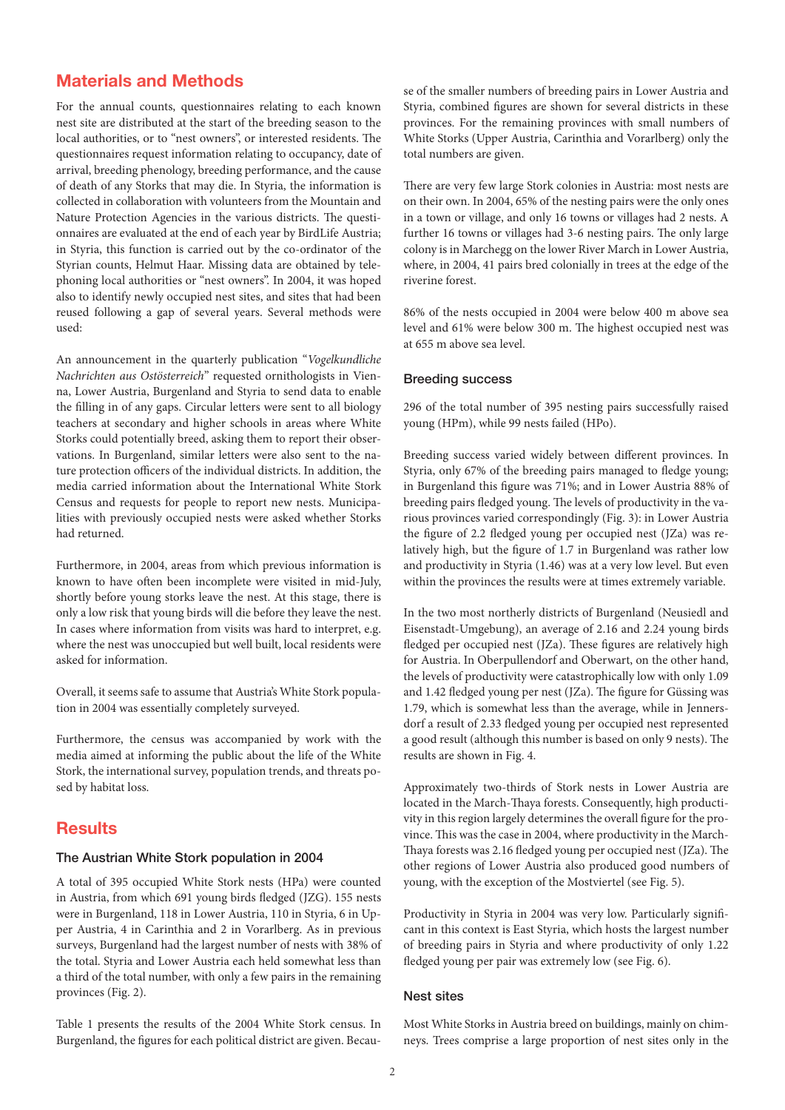# Materials and Methods

For the annual counts, questionnaires relating to each known nest site are distributed at the start of the breeding season to the local authorities, or to "nest owners", or interested residents. The questionnaires request information relating to occupancy, date of arrival, breeding phenology, breeding performance, and the cause of death of any Storks that may die. In Styria, the information is collected in collaboration with volunteers from the Mountain and Nature Protection Agencies in the various districts. The questionnaires are evaluated at the end of each year by BirdLife Austria; in Styria, this function is carried out by the co-ordinator of the Styrian counts, Helmut Haar. Missing data are obtained by telephoning local authorities or "nest owners". In 2004, it was hoped also to identify newly occupied nest sites, and sites that had been reused following a gap of several years. Several methods were used:

An announcement in the quarterly publication "*Vogelkundliche Nachrichten aus Ostösterreich*" requested ornithologists in Vienna, Lower Austria, Burgenland and Styria to send data to enable the filling in of any gaps. Circular letters were sent to all biology teachers at secondary and higher schools in areas where White Storks could potentially breed, asking them to report their observations. In Burgenland, similar letters were also sent to the nature protection officers of the individual districts. In addition, the media carried information about the International White Stork Census and requests for people to report new nests. Municipalities with previously occupied nests were asked whether Storks had returned.

Furthermore, in 2004, areas from which previous information is known to have often been incomplete were visited in mid-July, shortly before young storks leave the nest. At this stage, there is only a low risk that young birds will die before they leave the nest. In cases where information from visits was hard to interpret, e.g. where the nest was unoccupied but well built, local residents were asked for information.

Overall, it seems safe to assume that Austria's White Stork population in 2004 was essentially completely surveyed.

Furthermore, the census was accompanied by work with the media aimed at informing the public about the life of the White Stork, the international survey, population trends, and threats posed by habitat loss.

### **Results**

#### The Austrian White Stork population in 2004

A total of 395 occupied White Stork nests (HPa) were counted in Austria, from which 691 young birds fledged (JZG). 155 nests were in Burgenland, 118 in Lower Austria, 110 in Styria, 6 in Upper Austria, 4 in Carinthia and 2 in Vorarlberg. As in previous surveys, Burgenland had the largest number of nests with 38% of the total. Styria and Lower Austria each held somewhat less than a third of the total number, with only a few pairs in the remaining provinces (Fig. 2).

Table 1 presents the results of the 2004 White Stork census. In Burgenland, the figures for each political district are given. Because of the smaller numbers of breeding pairs in Lower Austria and Styria, combined figures are shown for several districts in these provinces. For the remaining provinces with small numbers of White Storks (Upper Austria, Carinthia and Vorarlberg) only the total numbers are given.

There are very few large Stork colonies in Austria: most nests are on their own. In 2004, 65% of the nesting pairs were the only ones in a town or village, and only 16 towns or villages had 2 nests. A further 16 towns or villages had 3-6 nesting pairs. The only large colony is in Marchegg on the lower River March in Lower Austria, where, in 2004, 41 pairs bred colonially in trees at the edge of the riverine forest.

86% of the nests occupied in 2004 were below 400 m above sea level and 61% were below 300 m. The highest occupied nest was at 655 m above sea level.

#### Breeding success

296 of the total number of 395 nesting pairs successfully raised young (HPm), while 99 nests failed (HPo).

Breeding success varied widely between different provinces. In Styria, only 67% of the breeding pairs managed to fledge young; in Burgenland this figure was 71%; and in Lower Austria 88% of breeding pairs fledged young. The levels of productivity in the various provinces varied correspondingly (Fig. 3): in Lower Austria the figure of 2.2 fledged young per occupied nest (JZa) was relatively high, but the figure of 1.7 in Burgenland was rather low and productivity in Styria (1.46) was at a very low level. But even within the provinces the results were at times extremely variable.

In the two most northerly districts of Burgenland (Neusiedl and Eisenstadt-Umgebung), an average of 2.16 and 2.24 young birds fledged per occupied nest (JZa). These figures are relatively high for Austria. In Oberpullendorf and Oberwart, on the other hand, the levels of productivity were catastrophically low with only 1.09 and 1.42 fledged young per nest (JZa). The figure for Güssing was 1.79, which is somewhat less than the average, while in Jennersdorf a result of 2.33 fledged young per occupied nest represented a good result (although this number is based on only 9 nests). The results are shown in Fig. 4.

Approximately two-thirds of Stork nests in Lower Austria are located in the March-Thaya forests. Consequently, high productivity in this region largely determines the overall figure for the province. This was the case in 2004, where productivity in the March-Thaya forests was 2.16 fledged young per occupied nest (JZa). The other regions of Lower Austria also produced good numbers of young, with the exception of the Mostviertel (see Fig. 5).

Productivity in Styria in 2004 was very low. Particularly significant in this context is East Styria, which hosts the largest number of breeding pairs in Styria and where productivity of only 1.22 fledged young per pair was extremely low (see Fig. 6).

#### Nest sites

Most White Storks in Austria breed on buildings, mainly on chimneys. Trees comprise a large proportion of nest sites only in the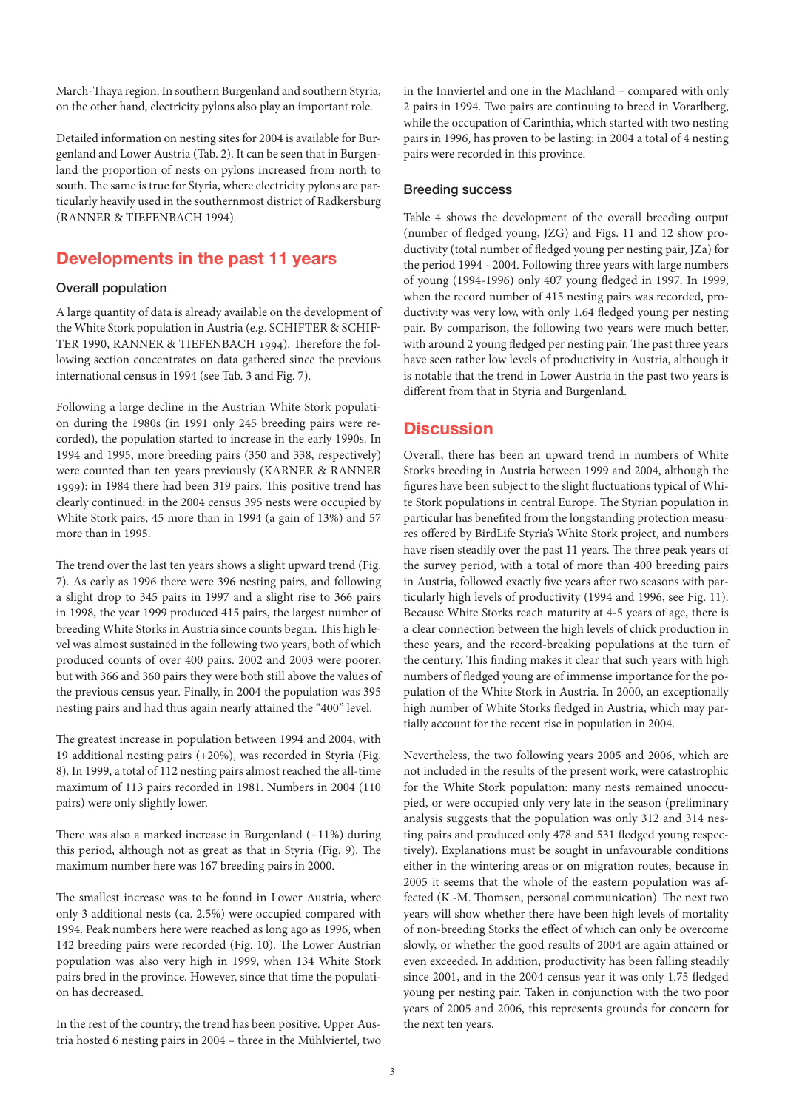March-Thaya region. In southern Burgenland and southern Styria, on the other hand, electricity pylons also play an important role.

Detailed information on nesting sites for 2004 is available for Burgenland and Lower Austria (Tab. 2). It can be seen that in Burgenland the proportion of nests on pylons increased from north to south. The same is true for Styria, where electricity pylons are particularly heavily used in the southernmost district of Radkersburg (RANNER & TIEFENBACH 1994).

## Developments in the past 11 years

#### Overall population

A large quantity of data is already available on the development of the White Stork population in Austria (e.g. SCHIFTER & SCHIF-TER 1990, RANNER & TIEFENBACH 1994). Therefore the following section concentrates on data gathered since the previous international census in 1994 (see Tab. 3 and Fig. 7).

Following a large decline in the Austrian White Stork population during the 1980s (in 1991 only 245 breeding pairs were recorded), the population started to increase in the early 1990s. In 1994 and 1995, more breeding pairs (350 and 338, respectively) were counted than ten years previously (KARNER & RANNER 1999): in 1984 there had been 319 pairs. This positive trend has clearly continued: in the 2004 census 395 nests were occupied by White Stork pairs, 45 more than in 1994 (a gain of 13%) and 57 more than in 1995.

The trend over the last ten years shows a slight upward trend (Fig. 7). As early as 1996 there were 396 nesting pairs, and following a slight drop to 345 pairs in 1997 and a slight rise to 366 pairs in 1998, the year 1999 produced 415 pairs, the largest number of breeding White Storks in Austria since counts began. This high level was almost sustained in the following two years, both of which produced counts of over 400 pairs. 2002 and 2003 were poorer, but with 366 and 360 pairs they were both still above the values of the previous census year. Finally, in 2004 the population was 395 nesting pairs and had thus again nearly attained the "400" level.

The greatest increase in population between 1994 and 2004, with 19 additional nesting pairs (+20%), was recorded in Styria (Fig. 8). In 1999, a total of 112 nesting pairs almost reached the all-time maximum of 113 pairs recorded in 1981. Numbers in 2004 (110 pairs) were only slightly lower.

There was also a marked increase in Burgenland (+11%) during this period, although not as great as that in Styria (Fig. 9). The maximum number here was 167 breeding pairs in 2000.

The smallest increase was to be found in Lower Austria, where only 3 additional nests (ca. 2.5%) were occupied compared with 1994. Peak numbers here were reached as long ago as 1996, when 142 breeding pairs were recorded (Fig. 10). The Lower Austrian population was also very high in 1999, when 134 White Stork pairs bred in the province. However, since that time the population has decreased.

In the rest of the country, the trend has been positive. Upper Austria hosted 6 nesting pairs in 2004 – three in the Mühlviertel, two in the Innviertel and one in the Machland – compared with only 2 pairs in 1994. Two pairs are continuing to breed in Vorarlberg, while the occupation of Carinthia, which started with two nesting pairs in 1996, has proven to be lasting: in 2004 a total of 4 nesting pairs were recorded in this province.

#### Breeding success

Table 4 shows the development of the overall breeding output (number of fledged young, JZG) and Figs. 11 and 12 show productivity (total number of fledged young per nesting pair, JZa) for the period 1994 - 2004. Following three years with large numbers of young (1994-1996) only 407 young fledged in 1997. In 1999, when the record number of 415 nesting pairs was recorded, productivity was very low, with only 1.64 fledged young per nesting pair. By comparison, the following two years were much better, with around 2 young fledged per nesting pair. The past three years have seen rather low levels of productivity in Austria, although it is notable that the trend in Lower Austria in the past two years is different from that in Styria and Burgenland.

### **Discussion**

Overall, there has been an upward trend in numbers of White Storks breeding in Austria between 1999 and 2004, although the figures have been subject to the slight fluctuations typical of White Stork populations in central Europe. The Styrian population in particular has benefited from the longstanding protection measures offered by BirdLife Styria's White Stork project, and numbers have risen steadily over the past 11 years. The three peak years of the survey period, with a total of more than 400 breeding pairs in Austria, followed exactly five years after two seasons with particularly high levels of productivity (1994 and 1996, see Fig. 11). Because White Storks reach maturity at 4-5 years of age, there is a clear connection between the high levels of chick production in these years, and the record-breaking populations at the turn of the century. This finding makes it clear that such years with high numbers of fledged young are of immense importance for the population of the White Stork in Austria. In 2000, an exceptionally high number of White Storks fledged in Austria, which may partially account for the recent rise in population in 2004.

Nevertheless, the two following years 2005 and 2006, which are not included in the results of the present work, were catastrophic for the White Stork population: many nests remained unoccupied, or were occupied only very late in the season (preliminary analysis suggests that the population was only 312 and 314 nesting pairs and produced only 478 and 531 fledged young respectively). Explanations must be sought in unfavourable conditions either in the wintering areas or on migration routes, because in 2005 it seems that the whole of the eastern population was affected (K.-M. Thomsen, personal communication). The next two years will show whether there have been high levels of mortality of non-breeding Storks the effect of which can only be overcome slowly, or whether the good results of 2004 are again attained or even exceeded. In addition, productivity has been falling steadily since 2001, and in the 2004 census year it was only 1.75 fledged young per nesting pair. Taken in conjunction with the two poor years of 2005 and 2006, this represents grounds for concern for the next ten years.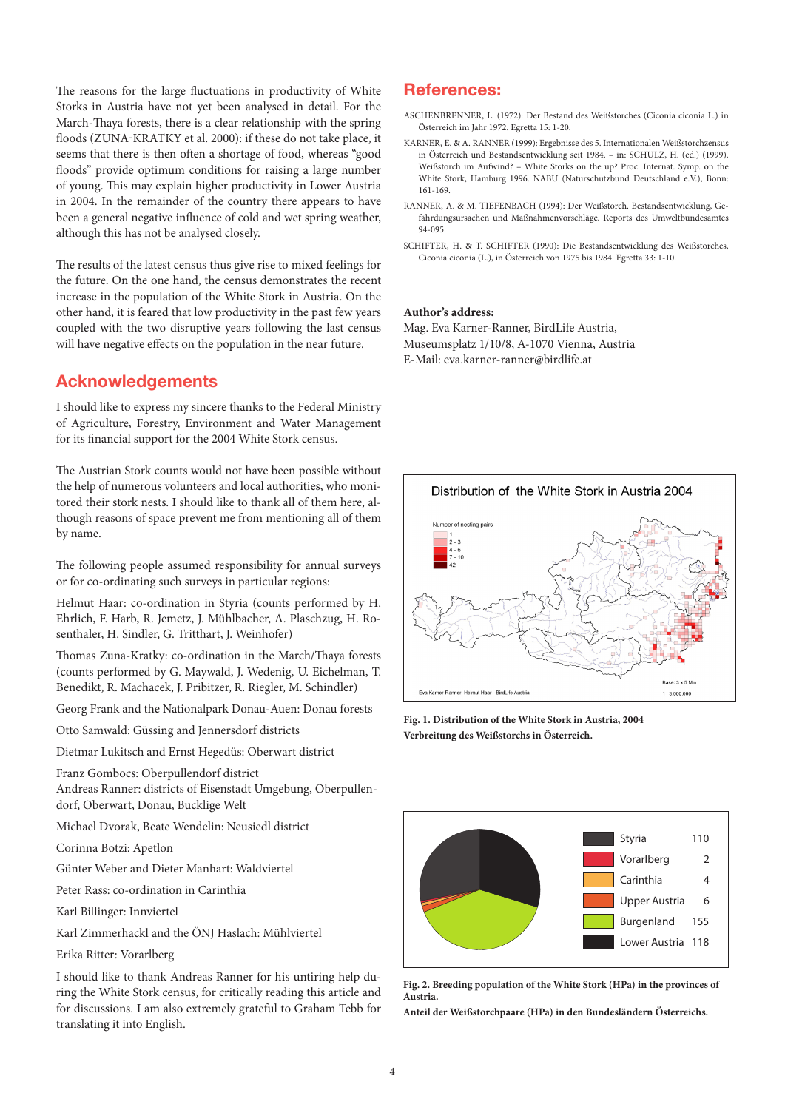The reasons for the large fluctuations in productivity of White Storks in Austria have not yet been analysed in detail. For the March-Thaya forests, there is a clear relationship with the spring floods (ZUNA-KRATKY et al. 2000): if these do not take place, it seems that there is then often a shortage of food, whereas "good floods" provide optimum conditions for raising a large number of young. This may explain higher productivity in Lower Austria in 2004. In the remainder of the country there appears to have been a general negative influence of cold and wet spring weather, although this has not be analysed closely.

The results of the latest census thus give rise to mixed feelings for the future. On the one hand, the census demonstrates the recent increase in the population of the White Stork in Austria. On the other hand, it is feared that low productivity in the past few years coupled with the two disruptive years following the last census will have negative effects on the population in the near future.

### Acknowledgements

I should like to express my sincere thanks to the Federal Ministry of Agriculture, Forestry, Environment and Water Management for its financial support for the 2004 White Stork census.

The Austrian Stork counts would not have been possible without the help of numerous volunteers and local authorities, who monitored their stork nests. I should like to thank all of them here, although reasons of space prevent me from mentioning all of them by name.

The following people assumed responsibility for annual surveys or for co-ordinating such surveys in particular regions:

Helmut Haar: co-ordination in Styria (counts performed by H. Ehrlich, F. Harb, R. Jemetz, J. Mühlbacher, A. Plaschzug, H. Rosenthaler, H. Sindler, G. Tritthart, J. Weinhofer)

Thomas Zuna-Kratky: co-ordination in the March/Thaya forests (counts performed by G. Maywald, J. Wedenig, U. Eichelman, T. Benedikt, R. Machacek, J. Pribitzer, R. Riegler, M. Schindler)

Georg Frank and the Nationalpark Donau-Auen: Donau forests

Otto Samwald: Güssing and Jennersdorf districts

Dietmar Lukitsch and Ernst Hegedüs: Oberwart district

Franz Gombocs: Oberpullendorf district

Andreas Ranner: districts of Eisenstadt Umgebung, Oberpullendorf, Oberwart, Donau, Bucklige Welt

Michael Dvorak, Beate Wendelin: Neusiedl district

- Corinna Botzi: Apetlon
- Günter Weber and Dieter Manhart: Waldviertel

Peter Rass: co-ordination in Carinthia

Karl Billinger: Innviertel

Karl Zimmerhackl and the ÖNJ Haslach: Mühlviertel

Erika Ritter: Vorarlberg

I should like to thank Andreas Ranner for his untiring help during the White Stork census, for critically reading this article and for discussions. I am also extremely grateful to Graham Tebb for translating it into English.

#### References:

- ASCHENBRENNER, L. (1972): Der Bestand des Weißstorches (Ciconia ciconia L.) in Österreich im Jahr 1972. Egretta 15: 1-20.
- KARNER, E. & A. RANNER (1999): Ergebnisse des 5. Internationalen Weißstorchzensus in Österreich und Bestandsentwicklung seit 1984. – in: SCHULZ, H. (ed.) (1999). Weißstorch im Aufwind? – White Storks on the up? Proc. Internat. Symp. on the White Stork, Hamburg 1996. NABU (Naturschutzbund Deutschland e.V.), Bonn: 161-169.
- RANNER, A. & M. TIEFENBACH (1994): Der Weißstorch. Bestandsentwicklung, Gefährdungsursachen und Maßnahmenvorschläge. Reports des Umweltbundesamtes 94-095.
- SCHIFTER, H. & T. SCHIFTER (1990): Die Bestandsentwicklung des Weißstorches, Ciconia ciconia (L.), in Österreich von 1975 bis 1984. Egretta 33: 1-10.

#### **Author's address:**

Mag. Eva Karner-Ranner, BirdLife Austria, Museumsplatz 1/10/8, A-1070 Vienna, Austria E-Mail: eva.karner-ranner@birdlife.at



**Fig. 1. Distribution of the White Stork in Austria, 2004 Verbreitung des Weißstorchs in Österreich.**



**Fig. 2. Breeding population of the White Stork (HPa) in the provinces of Austria.**

**Anteil der Weißstorchpaare (HPa) in den Bundesländern Österreichs.**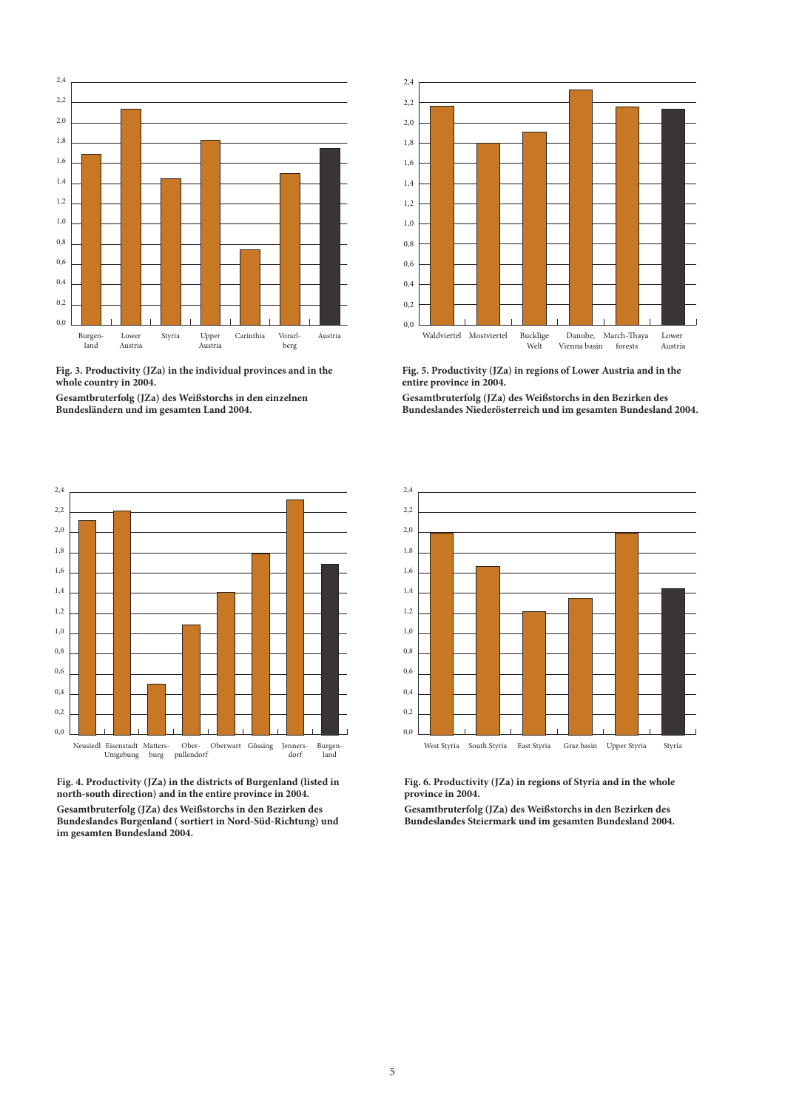

**Fig. 3. Productivity (JZa) in the individual provinces and in the whole country in 2004.**

**Gesamtbruterfolg (JZa) des Weißstorchs in den einzelnen Bundesländern und im gesamten Land 2004.**



**Fig. 4. Productivity (JZa) in the districts of Burgenland (listed in north-south direction) and in the entire province in 2004. Gesamtbruterfolg (JZa) des Weißstorchs in den Bezirken des** 

**Bundeslandes Burgenland ( sortiert in Nord-Süd-Richtung) und im gesamten Bundesland 2004.**



**Fig. 5. Productivity (JZa) in regions of Lower Austria and in the entire province in 2004.**

**Gesamtbruterfolg (JZa) des Weißstorchs in den Bezirken des Bundeslandes Niederösterreich und im gesamten Bundesland 2004.**



**Fig. 6. Productivity (JZa) in regions of Styria and in the whole province in 2004.**

**Gesamtbruterfolg (JZa) des Weißstorchs in den Bezirken des Bundeslandes Steiermark und im gesamten Bundesland 2004.**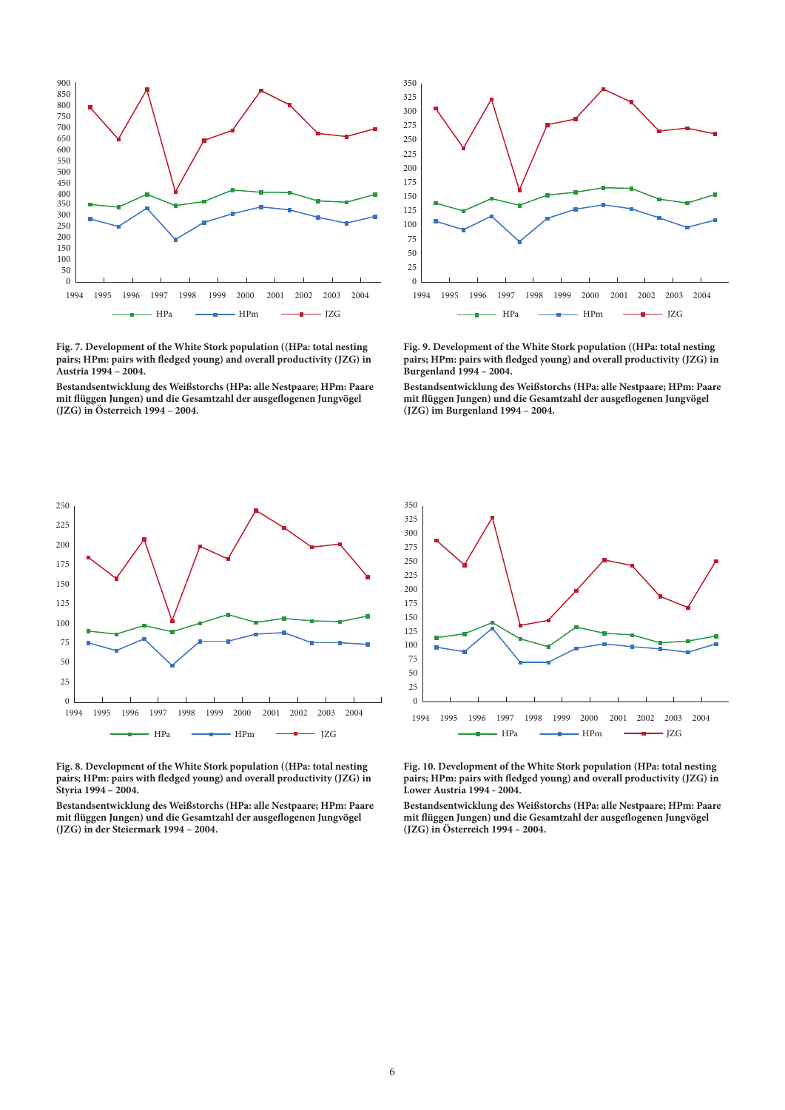

**Fig. 7. Development of the White Stork population ((HPa: total nesting pairs; HPm: pairs with fledged young) and overall productivity (JZG) in Austria 1994 – 2004.**

**Bestandsentwicklung des Weißstorchs (HPa: alle Nestpaare; HPm: Paare mit flüggen Jungen) und die Gesamtzahl der ausgeflogenen Jungvögel (JZG) in Österreich 1994 – 2004.** 



**Fig. 9. Development of the White Stork population ((HPa: total nesting pairs; HPm: pairs with fledged young) and overall productivity (JZG) in Burgenland 1994 – 2004.**

**Bestandsentwicklung des Weißstorchs (HPa: alle Nestpaare; HPm: Paare mit flüggen Jungen) und die Gesamtzahl der ausgeflogenen Jungvögel (JZG) im Burgenland 1994 – 2004.** 



**Fig. 8. Development of the White Stork population ((HPa: total nesting pairs; HPm: pairs with fledged young) and overall productivity (JZG) in Styria 1994 – 2004.**

**Bestandsentwicklung des Weißstorchs (HPa: alle Nestpaare; HPm: Paare mit flüggen Jungen) und die Gesamtzahl der ausgeflogenen Jungvögel (JZG) in der Steiermark 1994 – 2004.** 



**Fig. 10. Development of the White Stork population (HPa: total nesting pairs; HPm: pairs with fledged young) and overall productivity (JZG) in Lower Austria 1994 - 2004.**

**Bestandsentwicklung des Weißstorchs (HPa: alle Nestpaare; HPm: Paare mit flüggen Jungen) und die Gesamtzahl der ausgeflogenen Jungvögel (JZG) in Österreich 1994 – 2004.**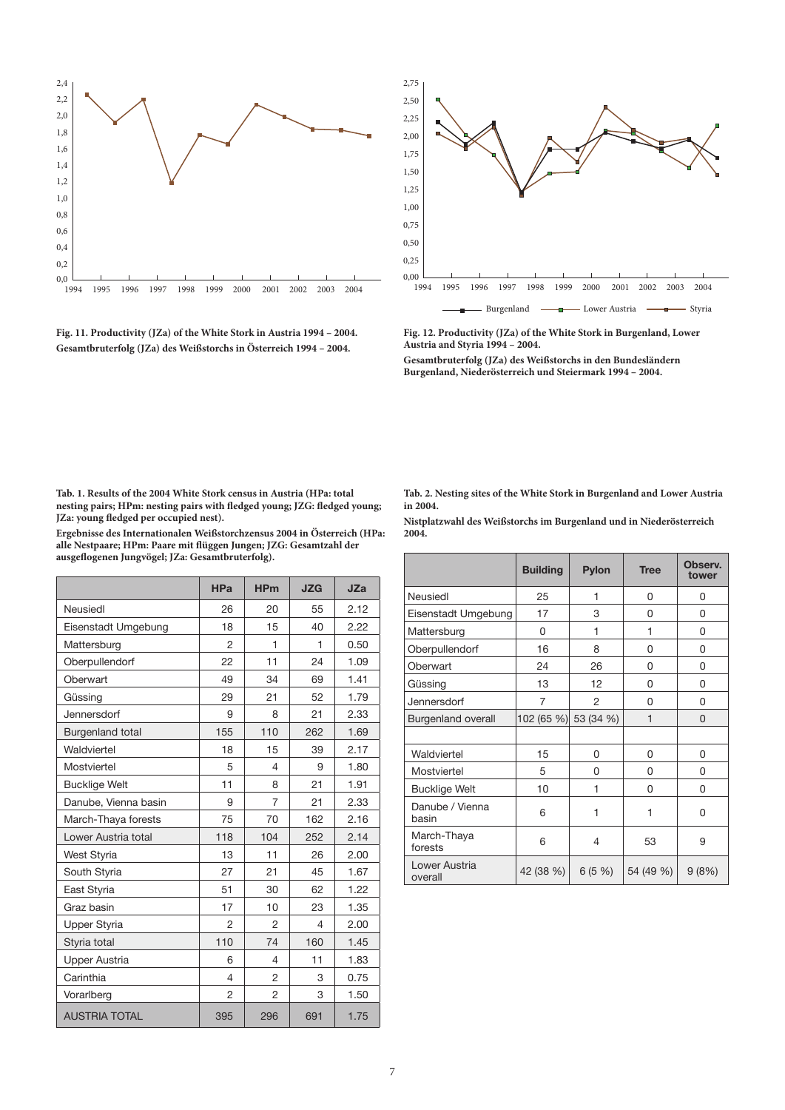

**Fig. 11. Productivity (JZa) of the White Stork in Austria 1994 – 2004. Gesamtbruterfolg (JZa) des Weißstorchs in Österreich 1994 – 2004.**



**Fig. 12. Productivity (JZa) of the White Stork in Burgenland, Lower Austria and Styria 1994 – 2004.**

**Gesamtbruterfolg (JZa) des Weißstorchs in den Bundesländern Burgenland, Niederösterreich und Steiermark 1994 – 2004.**

**Tab. 1. Results of the 2004 White Stork census in Austria (HPa: total nesting pairs; HPm: nesting pairs with fledged young; JZG: fledged young; JZa: young fledged per occupied nest).**

**Ergebnisse des Internationalen Weißstorchzensus 2004 in Österreich (HPa: alle Nestpaare; HPm: Paare mit flüggen Jungen; JZG: Gesamtzahl der ausgeflogenen Jungvögel; JZa: Gesamtbruterfolg).** 

|                         | <b>HPa</b>     | <b>HPm</b>     | <b>JZG</b> | <b>JZa</b> |
|-------------------------|----------------|----------------|------------|------------|
| Neusiedl                | 26             | 20             | 55         | 2.12       |
| Eisenstadt Umgebung     | 18             | 15             | 40         | 2.22       |
| Mattersburg             | $\mathfrak{p}$ | 1              | 1          | 0.50       |
| Oberpullendorf          | 22             | 11             | 24         | 1.09       |
| Oberwart                | 49             | 34             | 69         | 1.41       |
| Güssing                 | 29             | 21             | 52         | 1.79       |
| Jennersdorf             | 9              | 8              | 21         | 2.33       |
| <b>Burgenland total</b> | 155            | 110            | 262        | 1.69       |
| Waldviertel             | 18             | 15             | 39         | 2.17       |
| Mostviertel             | 5              | 4              | 9          | 1.80       |
| <b>Bucklige Welt</b>    | 11             | 8              | 21         | 1.91       |
| Danube, Vienna basin    | 9              | 7              | 21         | 2.33       |
| March-Thaya forests     | 75             | 70             | 162        | 2.16       |
| Lower Austria total     | 118            | 104            | 252        | 2.14       |
| West Styria             | 13             | 11             | 26         | 2.00       |
| South Styria            | 27             | 21             | 45         | 1.67       |
| East Styria             | 51             | 30             | 62         | 1.22       |
| Graz basin              | 17             | 10             | 23         | 1.35       |
| <b>Upper Styria</b>     | $\overline{2}$ | 2              | 4          | 2.00       |
| Styria total            | 110            | 74             | 160        | 1.45       |
| <b>Upper Austria</b>    | 6              | 4              | 11         | 1.83       |
| Carinthia               | 4              | $\overline{2}$ | 3          | 0.75       |
| Vorarlberg              | $\overline{2}$ | 2              | 3          | 1.50       |
| <b>AUSTRIA TOTAL</b>    | 395            | 296            | 691        | 1.75       |

**Tab. 2. Nesting sites of the White Stork in Burgenland and Lower Austria in 2004.**

**Nistplatzwahl des Weißstorchs im Burgenland und in Niederösterreich 2004.** 

|                           | <b>Building</b>      | <b>Pylon</b> | <b>Tree</b> | Observ.<br>tower |  |
|---------------------------|----------------------|--------------|-------------|------------------|--|
| Neusiedl                  | 25                   | 1            | 0           | 0                |  |
| Eisenstadt Umgebung       | 17                   | 3            | 0           | 0                |  |
| Mattersburg               | 0                    | 1            | 1           | 0                |  |
| Oberpullendorf            | 16                   | 8            | 0           | 0                |  |
| Oberwart                  | 24                   | 26           | 0           | 0                |  |
| Güssing                   | 13                   | 12           | 0           | 0                |  |
| Jennersdorf               | 7                    | 2            | 0           | 0                |  |
| <b>Burgenland overall</b> | 102 (65 %) 53 (34 %) |              | 1           | 0                |  |
|                           |                      |              |             |                  |  |
| Waldviertel               | 15                   | 0            | 0           | 0                |  |
| Mostviertel               | 5                    | 0            | 0           | 0                |  |
| <b>Bucklige Welt</b>      | 10                   | 1            | 0           | 0                |  |
| Danube / Vienna<br>basin  | 6                    | 1            | 1           | 0                |  |
| March-Thaya<br>forests    | 6                    | 4            | 53          | 9                |  |
| Lower Austria<br>overall  | 42 (38 %)            | 6(5%)        | 54 (49 %)   | 9(8%)            |  |